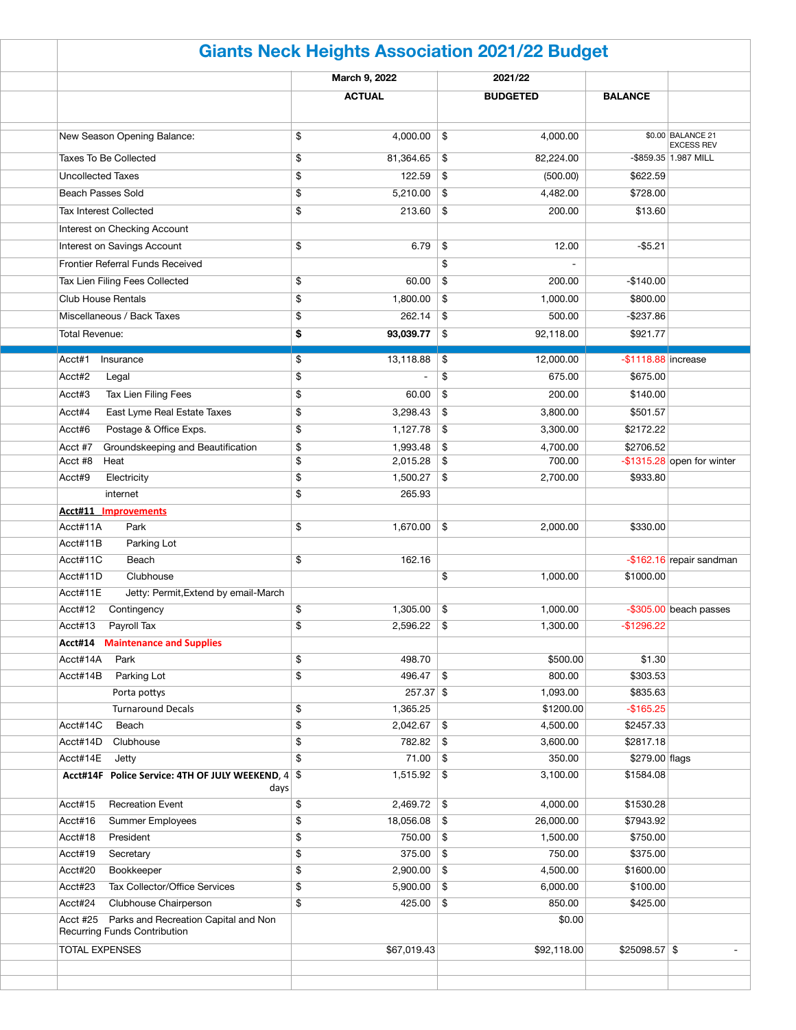| <b>Giants Neck Heights Association 2021/22 Budget</b> |    |               |               |                 |                        |                               |  |  |  |
|-------------------------------------------------------|----|---------------|---------------|-----------------|------------------------|-------------------------------|--|--|--|
|                                                       |    | March 9, 2022 |               | 2021/22         |                        |                               |  |  |  |
|                                                       |    | <b>ACTUAL</b> |               | <b>BUDGETED</b> | <b>BALANCE</b>         |                               |  |  |  |
|                                                       |    |               |               |                 |                        |                               |  |  |  |
| New Season Opening Balance:                           | \$ | 4,000.00      | \$            | 4,000.00        |                        | \$0.00 BALANCE 21             |  |  |  |
|                                                       |    |               |               |                 |                        | <b>EXCESS REV</b>             |  |  |  |
| <b>Taxes To Be Collected</b>                          | \$ | 81,364.65     | \$            | 82,224.00       |                        | -\$859.35 1.987 MILL          |  |  |  |
| <b>Uncollected Taxes</b>                              | \$ | 122.59        | \$            | (500.00)        | \$622.59               |                               |  |  |  |
| <b>Beach Passes Sold</b>                              | \$ | 5,210.00      | \$            | 4,482.00        | \$728.00               |                               |  |  |  |
| <b>Tax Interest Collected</b>                         | \$ | 213.60        | \$            | 200.00          | \$13.60                |                               |  |  |  |
| Interest on Checking Account                          |    |               |               |                 |                        |                               |  |  |  |
| Interest on Savings Account                           | \$ | 6.79          | \$            | 12.00           | $-$ \$5.21             |                               |  |  |  |
| Frontier Referral Funds Received                      |    |               | \$            |                 |                        |                               |  |  |  |
| Tax Lien Filing Fees Collected                        | \$ | 60.00         | \$            | 200.00          | $-$140.00$             |                               |  |  |  |
| <b>Club House Rentals</b>                             | \$ | 1,800.00      | \$            | 1,000.00        | \$800.00               |                               |  |  |  |
| Miscellaneous / Back Taxes                            | \$ | 262.14        | \$            | 500.00          | $-$237.86$             |                               |  |  |  |
| <b>Total Revenue:</b>                                 | \$ | 93,039.77     | \$            | 92,118.00       | \$921.77               |                               |  |  |  |
|                                                       |    |               |               |                 |                        |                               |  |  |  |
| Acct#1<br>Insurance                                   | \$ | 13,118.88     | \$            | 12,000.00       | $-$ \$1118.88 increase |                               |  |  |  |
| Acct#2<br>Legal                                       | \$ |               | \$            | 675.00          | \$675.00               |                               |  |  |  |
| Tax Lien Filing Fees<br>Acct#3                        | \$ | 60.00         | \$            | 200.00          | \$140.00               |                               |  |  |  |
| Acct#4<br>East Lyme Real Estate Taxes                 | \$ | 3,298.43      | \$            | 3,800.00        | \$501.57               |                               |  |  |  |
| Acct#6<br>Postage & Office Exps.                      | \$ | 1,127.78      | \$            | 3,300.00        | \$2172.22              |                               |  |  |  |
| Groundskeeping and Beautification<br>Acct #7          | \$ | 1,993.48      | \$            | 4,700.00        | \$2706.52              |                               |  |  |  |
| Acct #8<br>Heat                                       | \$ | 2,015.28      | \$            | 700.00          |                        | $-$ \$1315.28 open for winter |  |  |  |
| Acct#9<br>Electricity                                 | \$ | 1,500.27      | \$            | 2,700.00        | \$933.80               |                               |  |  |  |
| internet                                              | \$ | 265.93        |               |                 |                        |                               |  |  |  |
| <b>Acct#11 Improvements</b>                           |    |               |               |                 |                        |                               |  |  |  |
| Acct#11A<br>Park                                      | \$ | 1,670.00      | $\frac{1}{2}$ | 2,000.00        | \$330.00               |                               |  |  |  |
| Parking Lot<br>Acct#11B                               |    |               |               |                 |                        |                               |  |  |  |
| Acct#11C<br>Beach                                     | \$ | 162.16        |               |                 |                        | $-$ \$162.16 repair sandman   |  |  |  |
| Acct#11D<br>Clubhouse                                 |    |               | \$            | 1,000.00        | \$1000.00              |                               |  |  |  |
| Acct#11E<br>Jetty: Permit, Extend by email-March      |    |               |               |                 |                        |                               |  |  |  |
| Acct#12<br>Contingency                                | \$ | 1,305.00      | \$            | 1,000.00        |                        | $-$ \$305.00 beach passes     |  |  |  |
| Acct#13<br>Payroll Tax                                | \$ | 2,596.22      | \$            | 1,300.00        | $-$1296.22$            |                               |  |  |  |
| <b>Maintenance and Supplies</b><br>Acct#14            |    |               |               |                 |                        |                               |  |  |  |
| Acct#14A<br>Park                                      | \$ | 498.70        |               | \$500.00        | \$1.30                 |                               |  |  |  |
| Acct#14B<br>Parking Lot                               | \$ | 496.47        | \$            | 800.00          | \$303.53               |                               |  |  |  |
| Porta pottys                                          |    | $257.37$ \$   |               | 1,093.00        | \$835.63               |                               |  |  |  |
| <b>Turnaround Decals</b>                              | \$ | 1,365.25      |               | \$1200.00       | $-$ \$165.25           |                               |  |  |  |
| Acct#14C<br>Beach                                     | \$ | 2,042.67      | \$            | 4,500.00        | \$2457.33              |                               |  |  |  |
| Acct#14D<br>Clubhouse                                 | \$ | 782.82        | \$            | 3,600.00        | \$2817.18              |                               |  |  |  |
| Acct#14E<br>Jetty                                     | \$ | 71.00         | \$            | 350.00          | \$279.00 flags         |                               |  |  |  |
| Acct#14F Police Service: 4TH OF JULY WEEKEND, 4 \$    |    | 1,515.92      | \$            | 3,100.00        | \$1584.08              |                               |  |  |  |
| days                                                  |    |               |               |                 |                        |                               |  |  |  |
| Acct#15<br><b>Recreation Event</b>                    | \$ | 2,469.72      | \$            | 4,000.00        | \$1530.28              |                               |  |  |  |
| Acct#16<br>Summer Employees                           | \$ | 18,056.08     | \$            | 26,000.00       | \$7943.92              |                               |  |  |  |
| Acct#18<br>President                                  | \$ | 750.00        | \$            | 1,500.00        | \$750.00               |                               |  |  |  |
| Acct#19<br>Secretary                                  | \$ | 375.00        | $\frac{1}{2}$ | 750.00          | \$375.00               |                               |  |  |  |
| Acct#20<br>Bookkeeper                                 | \$ | 2,900.00      | \$            | 4,500.00        | \$1600.00              |                               |  |  |  |
| Acct#23<br>Tax Collector/Office Services              | \$ | 5,900.00      | \$            | 6,000.00        | \$100.00               |                               |  |  |  |
| Acct#24<br>Clubhouse Chairperson                      | \$ | 425.00        | \$            | 850.00          | \$425.00               |                               |  |  |  |
| Acct #25 Parks and Recreation Capital and Non         |    |               |               | \$0.00          |                        |                               |  |  |  |
| <b>Recurring Funds Contribution</b>                   |    |               |               |                 |                        |                               |  |  |  |
| <b>TOTAL EXPENSES</b>                                 |    | \$67,019.43   |               | \$92,118.00     | $$25098.57$ \$         |                               |  |  |  |
|                                                       |    |               |               |                 |                        |                               |  |  |  |
|                                                       |    |               |               |                 |                        |                               |  |  |  |